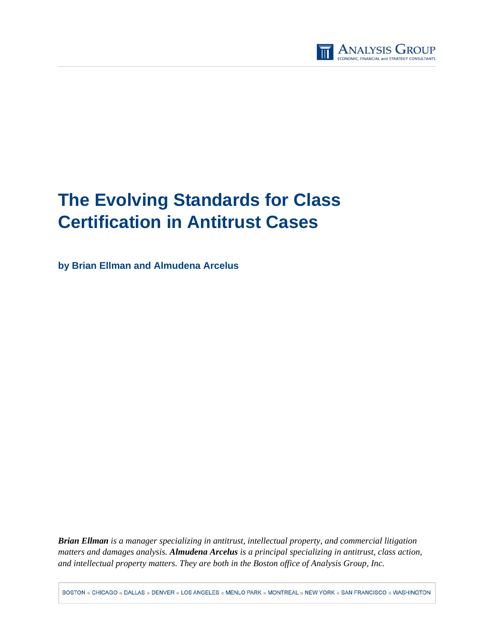

# **The Evolving Standards for Class Certification in Antitrust Cases**

**by Brian Ellman and Almudena Arcelus** 

*Brian Ellman is a manager specializing in antitrust, intellectual property, and commercial litigation matters and damages analysis. Almudena Arcelus is a principal specializing in antitrust, class action, and intellectual property matters. They are both in the Boston office of Analysis Group, Inc.*

BOSTON . CHICAGO . DALLAS . DENVER . LOS ANGELES . MENLO PARK . MONTREAL . NEW YORK . SAN FRANCISCO . WASHINGTON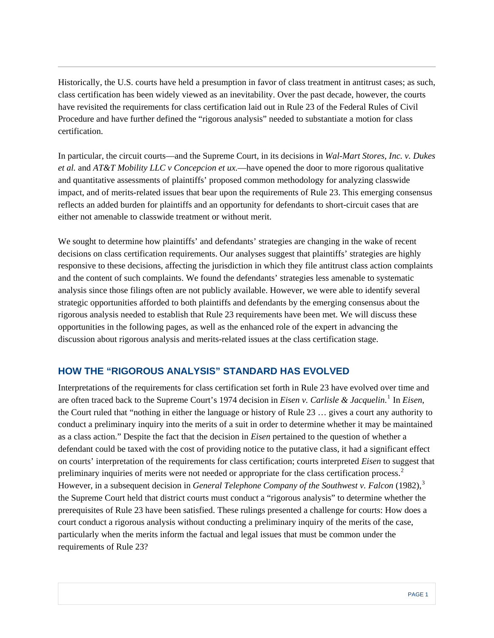Historically, the U.S. courts have held a presumption in favor of class treatment in antitrust cases; as such, class certification has been widely viewed as an inevitability. Over the past decade, however, the courts have revisited the requirements for class certification laid out in Rule 23 of the Federal Rules of Civil Procedure and have further defined the "rigorous analysis" needed to substantiate a motion for class certification.

In particular, the circuit courts—and the Supreme Court, in its decisions in *Wal-Mart Stores, Inc. v. Dukes et al.* and *AT&T Mobility LLC v Concepcion et ux.*—have opened the door to more rigorous qualitative and quantitative assessments of plaintiffs' proposed common methodology for analyzing classwide impact, and of merits-related issues that bear upon the requirements of Rule 23. This emerging consensus reflects an added burden for plaintiffs and an opportunity for defendants to short-circuit cases that are either not amenable to classwide treatment or without merit.

We sought to determine how plaintiffs' and defendants' strategies are changing in the wake of recent decisions on class certification requirements. Our analyses suggest that plaintiffs' strategies are highly responsive to these decisions, affecting the jurisdiction in which they file antitrust class action complaints and the content of such complaints. We found the defendants' strategies less amenable to systematic analysis since those filings often are not publicly available. However, we were able to identify several strategic opportunities afforded to both plaintiffs and defendants by the emerging consensus about the rigorous analysis needed to establish that Rule 23 requirements have been met. We will discuss these opportunities in the following pages, as well as the enhanced role of the expert in advancing the discussion about rigorous analysis and merits-related issues at the class certification stage.

### **HOW THE "RIGOROUS ANALYSIS" STANDARD HAS EVOLVED**

Interpretations of the requirements for class certification set forth in Rule 23 have evolved over time and are often traced back to the Supreme Court's [1](#page-9-0)974 decision in *Eisen v. Carlisle & Jacquelin*.<sup>1</sup> In *Eisen*, the Court ruled that "nothing in either the language or history of Rule 23 … gives a court any authority to conduct a preliminary inquiry into the merits of a suit in order to determine whether it may be maintained as a class action." Despite the fact that the decision in *Eisen* pertained to the question of whether a defendant could be taxed with the cost of providing notice to the putative class, it had a significant effect on courts' interpretation of the requirements for class certification; courts interpreted *Eisen* to suggest that preliminary inquiries of merits were not needed or appropriate for the class certification process.[2](#page-9-1) However, in a subsequent decision in *General Telephone Company of the Southwest v. Falcon* (1982),<sup>[3](#page-9-1)</sup> the Supreme Court held that district courts must conduct a "rigorous analysis" to determine whether the prerequisites of Rule 23 have been satisfied. These rulings presented a challenge for courts: How does a court conduct a rigorous analysis without conducting a preliminary inquiry of the merits of the case, particularly when the merits inform the factual and legal issues that must be common under the requirements of Rule 23?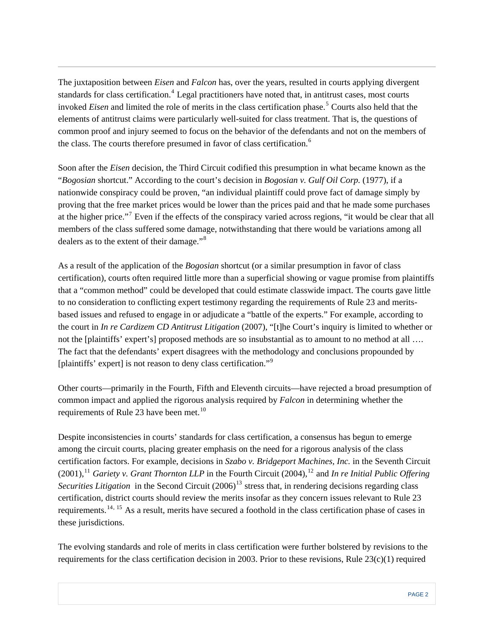The juxtaposition between *Eisen* and *Falcon* has, over the years, resulted in courts applying divergent standards for class certification.<sup>[4](#page-9-1)</sup> Legal practitioners have noted that, in antitrust cases, most courts invoked *Eisen* and limited the role of merits in the class certification phase.[5](#page-9-1) Courts also held that the elements of antitrust claims were particularly well-suited for class treatment. That is, the questions of common proof and injury seemed to focus on the behavior of the defendants and not on the members of the class. The courts therefore presumed in favor of class certification.<sup>[6](#page-9-1)</sup>

Soon after the *Eisen* decision, the Third Circuit codified this presumption in what became known as the "*Bogosian* shortcut." According to the court's decision in *Bogosian v. Gulf Oil Corp.* (1977), if a nationwide conspiracy could be proven, "an individual plaintiff could prove fact of damage simply by proving that the free market prices would be lower than the prices paid and that he made some purchases at the higher price."<sup>[7](#page-9-1)</sup> Even if the effects of the conspiracy varied across regions, "it would be clear that all members of the class suffered some damage, notwithstanding that there would be variations among all dealers as to the extent of their damage."<sup>[8](#page-9-1)</sup>

As a result of the application of the *Bogosian* shortcut (or a similar presumption in favor of class certification), courts often required little more than a superficial showing or vague promise from plaintiffs that a "common method" could be developed that could estimate classwide impact. The courts gave little to no consideration to conflicting expert testimony regarding the requirements of Rule 23 and meritsbased issues and refused to engage in or adjudicate a "battle of the experts." For example, according to the court in *In re Cardizem CD Antitrust Litigation* (2007), "[t]he Court's inquiry is limited to whether or not the [plaintiffs' expert's] proposed methods are so insubstantial as to amount to no method at all ... The fact that the defendants' expert disagrees with the methodology and conclusions propounded by [plaintiffs' expert] is not reason to deny class certification."<sup>[9](#page-9-1)</sup>

Other courts—primarily in the Fourth, Fifth and Eleventh circuits—have rejected a broad presumption of common impact and applied the rigorous analysis required by *Falcon* in determining whether the requirements of Rule 23 have been met.<sup>[10](#page-9-1)</sup>

Despite inconsistencies in courts' standards for class certification, a consensus has begun to emerge among the circuit courts, placing greater emphasis on the need for a rigorous analysis of the class certification factors. For example, decisions in *Szabo v. Bridgeport Machines, Inc.* in the Seventh Circuit  $(2001)$ ,<sup>[11](#page-9-1)</sup> *Gariety v. Grant Thornton LLP* in the Fourth Circuit (2004),<sup>[12](#page-9-1)</sup> and *In re Initial Public Offering Securities Litigation* in the Second Circuit  $(2006)^{13}$  $(2006)^{13}$  $(2006)^{13}$  stress that, in rendering decisions regarding class certification, district courts should review the merits insofar as they concern issues relevant to Rule 23 requirements.[14](#page-9-1), [15](#page-9-1) As a result, merits have secured a foothold in the class certification phase of cases in these jurisdictions.

The evolving standards and role of merits in class certification were further bolstered by revisions to the requirements for the class certification decision in 2003. Prior to these revisions, Rule  $23(c)(1)$  required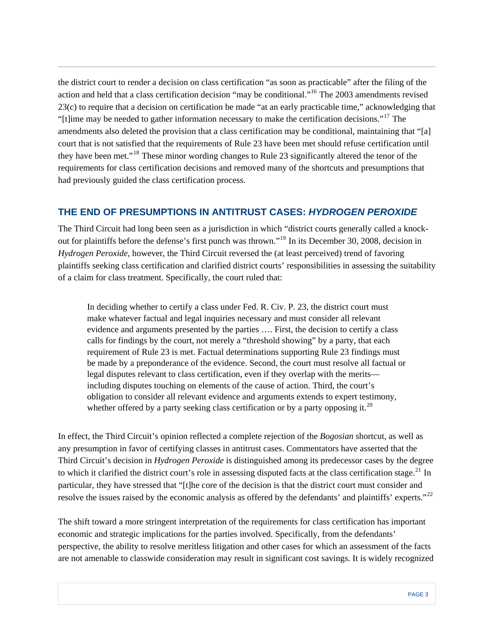the district court to render a decision on class certification "as soon as practicable" after the filing of the action and held that a class certification decision "may be conditional."[16](#page-9-1) The 2003 amendments revised 23(c) to require that a decision on certification be made "at an early practicable time," acknowledging that "[t]ime may be needed to gather information necessary to make the certification decisions."[17](#page-9-1) The amendments also deleted the provision that a class certification may be conditional, maintaining that "[a] court that is not satisfied that the requirements of Rule 23 have been met should refuse certification until they have been met."[18](#page-9-1) These minor wording changes to Rule 23 significantly altered the tenor of the requirements for class certification decisions and removed many of the shortcuts and presumptions that had previously guided the class certification process.

### **THE END OF PRESUMPTIONS IN ANTITRUST CASES:** *HYDROGEN PEROXIDE*

The Third Circuit had long been seen as a jurisdiction in which "district courts generally called a knockout for plaintiffs before the defense's first punch was thrown."[19](#page-9-1) In its December 30, 2008, decision in *Hydrogen Peroxide*, however, the Third Circuit reversed the (at least perceived) trend of favoring plaintiffs seeking class certification and clarified district courts' responsibilities in assessing the suitability of a claim for class treatment. Specifically, the court ruled that:

In deciding whether to certify a class under Fed. R. Civ. P. 23, the district court must make whatever factual and legal inquiries necessary and must consider all relevant evidence and arguments presented by the parties …. First, the decision to certify a class calls for findings by the court, not merely a "threshold showing" by a party, that each requirement of Rule 23 is met. Factual determinations supporting Rule 23 findings must be made by a preponderance of the evidence. Second, the court must resolve all factual or legal disputes relevant to class certification, even if they overlap with the merits including disputes touching on elements of the cause of action. Third, the court's obligation to consider all relevant evidence and arguments extends to expert testimony, whether offered by a party seeking class certification or by a party opposing it.<sup>[20](#page-10-0)</sup>

In effect, the Third Circuit's opinion reflected a complete rejection of the *Bogosian* shortcut, as well as any presumption in favor of certifying classes in antitrust cases. Commentators have asserted that the Third Circuit's decision in *Hydrogen Peroxide* is distinguished among its predecessor cases by the degree to which it clarified the district court's role in assessing disputed facts at the class certification stage.<sup>[21](#page-10-0)</sup> In particular, they have stressed that "[t]he core of the decision is that the district court must consider and resolve the issues raised by the economic analysis as offered by the defendants' and plaintiffs' experts."<sup>[22](#page-10-0)</sup>

The shift toward a more stringent interpretation of the requirements for class certification has important economic and strategic implications for the parties involved. Specifically, from the defendants' perspective, the ability to resolve meritless litigation and other cases for which an assessment of the facts are not amenable to classwide consideration may result in significant cost savings. It is widely recognized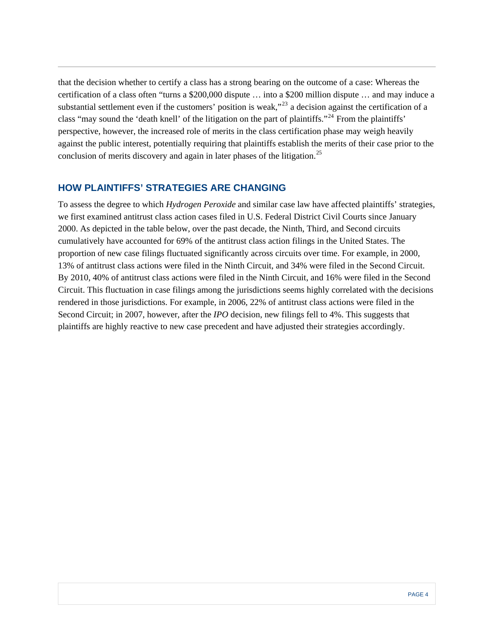that the decision whether to certify a class has a strong bearing on the outcome of a case: Whereas the certification of a class often "turns a \$200,000 dispute … into a \$200 million dispute … and may induce a substantial settlement even if the customers' position is weak,"<sup>[23](#page-10-0)</sup> a decision against the certification of a class "may sound the 'death knell' of the litigation on the part of plaintiffs."<sup>[24](#page-10-0)</sup> From the plaintiffs' perspective, however, the increased role of merits in the class certification phase may weigh heavily against the public interest, potentially requiring that plaintiffs establish the merits of their case prior to the conclusion of merits discovery and again in later phases of the litigation.<sup>[25](#page-10-0)</sup>

#### **HOW PLAINTIFFS' STRATEGIES ARE CHANGING**

To assess the degree to which *Hydrogen Peroxide* and similar case law have affected plaintiffs' strategies, we first examined antitrust class action cases filed in U.S. Federal District Civil Courts since January 2000. As depicted in the table below, over the past decade, the Ninth, Third, and Second circuits cumulatively have accounted for 69% of the antitrust class action filings in the United States. The proportion of new case filings fluctuated significantly across circuits over time. For example, in 2000, 13% of antitrust class actions were filed in the Ninth Circuit, and 34% were filed in the Second Circuit. By 2010, 40% of antitrust class actions were filed in the Ninth Circuit, and 16% were filed in the Second Circuit. This fluctuation in case filings among the jurisdictions seems highly correlated with the decisions rendered in those jurisdictions. For example, in 2006, 22% of antitrust class actions were filed in the Second Circuit; in 2007, however, after the *IPO* decision, new filings fell to 4%. This suggests that plaintiffs are highly reactive to new case precedent and have adjusted their strategies accordingly.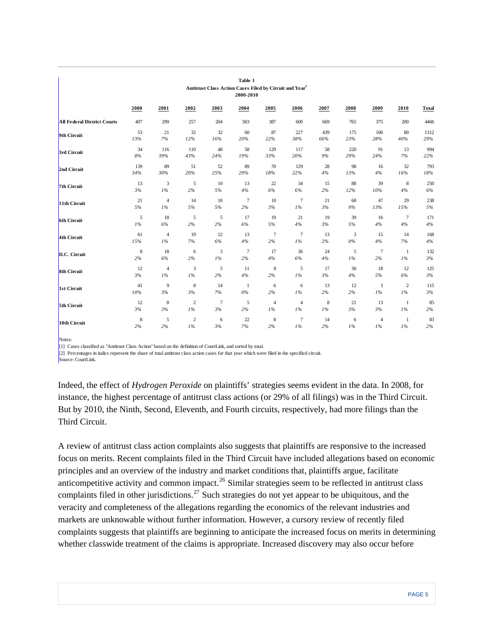| Table 1<br>Antitrust Class Action Cases Filed by Circuit and Year1<br>2000-2010 |             |                |                |       |                |                |                |       |        |                |                |              |
|---------------------------------------------------------------------------------|-------------|----------------|----------------|-------|----------------|----------------|----------------|-------|--------|----------------|----------------|--------------|
|                                                                                 | 2000        | 2001           | 2002           | 2003  | 2004           | 2005           | 2006           | 2007  | 2008   | 2009           | 2010           | <b>Total</b> |
| <b>All Federal District Courts</b>                                              | 407         | 299            | 257            | 204   | 303            | 387            | 600            | 669   | 765    | 375            | 200            | 4466         |
| 9th Circuit                                                                     | 53          | 21             | 32             | 32    | 60             | 87             | 227            | 439   | 175    | 106            | 80             | 1312         |
|                                                                                 | 13%         | 7%             | $12\%$         | 16%   | 20%            | 22%            | $38\%$         | 66%   | 23%    | $28\%$         | $40\%$         | 29%          |
| 3rd Circuit                                                                     | 34          | 116            | 110            | 48    | 58             | 129            | 117            | 58    | 220    | 91             | 13             | 994          |
|                                                                                 | $8\%$       | 39%            | 43%            | 24%   | 19%            | 33%            | 20%            | $9\%$ | 29%    | 24%            | 7%             | 22%          |
| 2nd Circuit                                                                     | 139         | 89             | 51             | 52    | 89             | 70             | 129            | 28    | 98     | 16             | 32             | 793          |
|                                                                                 | 34%         | 30%            | $20\%$         | 25%   | 29%            | $18\%$         | 22%            | $4\%$ | 13%    | $4\%$          | 16%            | $18\%$       |
| 7th Circuit                                                                     | 13          | 3              | 5              | 10    | 13             | 22             | 34             | 15    | 88     | 39             | $\,8\,$        | 250          |
|                                                                                 | $3\%$       | $1\%$          | $2\%$          | $5\%$ | $4\%$          | $6\%$          | $6\%$          | 2%    | $12\%$ | $10\%$         | $4\%$          | 6%           |
| 11th Circuit                                                                    | 21          | $\overline{4}$ | 14             | 10    | $\tau$         | 10             | $\overline{7}$ | 21    | 68     | 47             | 29             | 238          |
|                                                                                 | 5%          | 1%             | $5\%$          | 5%    | 2%             | $3\%$          | $1\%$          | 3%    | 9%     | 13%            | 15%            | 5%           |
| 6th Circuit                                                                     | 5           | 18             | 5              | 5     | 17             | 19             | 21             | 19    | 39     | 16             | $\tau$         | 171          |
|                                                                                 | $1\%$       | $6\%$          | 2%             | $2\%$ | 6%             | 5%             | $4\%$          | 3%    | 5%     | $4\%$          | $4\%$          | $4\%$        |
| 4th Circuit                                                                     | 61          | $\overline{4}$ | 19             | 12    | 13             | $\overline{7}$ | $\overline{7}$ | 13    | 3      | 15             | 14             | 168          |
|                                                                                 | 15%         | 1%             | 7%             | $6\%$ | $4\%$          | $2\%$          | 1%             | 2%    | $0\%$  | $4\%$          | $7\%$          | $4\%$        |
| D.C. Circuit                                                                    | 8           | 18             | 6              | 3     | $\overline{7}$ | 17             | 36             | 24    | 5      | $\overline{7}$ | -1             | 132          |
|                                                                                 | 2%          | $6\%$          | $2\%$          | $1\%$ | 2%             | $4\%$          | $6\%$          | $4\%$ | $1\%$  | 2%             | 1%             | $3\%$        |
| 8th Circuit                                                                     | 12          | $\overline{4}$ | 3              | 5     | 11             | 8              | 5              | 17    | 30     | 18             | 12             | 125          |
|                                                                                 | 3%          | $1\%$          | 1%             | 2%    | $4\%$          | 2%             | 1%             | 3%    | $4\%$  | 5%             | 6%             | $3\%$        |
| 1st Circuit                                                                     | 41          | 9              | 8              | 14    | -1             | 6              | 6              | 13    | 12     | 3              | $\overline{c}$ | 115          |
|                                                                                 | 10%         | 3%             | 3%             | $7\%$ | $0\%$          | 2%             | 1%             | 2%    | 2%     | 1%             | 1%             | 3%           |
| 5th Circuit                                                                     | 12          | 8              | $\overline{2}$ | 7     | 5              | $\overline{4}$ | $\overline{4}$ | 8     | 21     | 13             | -1             | 85           |
|                                                                                 | 3%          | 3%             | 1%             | 3%    | 2%             | $1\%$          | 1%             | 1%    | 3%     | 3%             | 1%             | 2%           |
| 10th Circuit                                                                    | $\,$ 8 $\,$ | 5              | $\overline{c}$ | 6     | 22             | 8              | 7              | 14    | 6      | $\overline{4}$ | 1              | 83           |
|                                                                                 | 2%          | 2%             | 1%             | 3%    | $7\%$          | 2%             | 1%             | 2%    | 1%     | 1%             | 1%             | 2%           |

Notes:

[1] Cases classified as "Antitrust Class Action" based on the definition of CourtLink, and sorted by total.

[2] Percentages in italics represent the share of total antitrust class action cases for that year which were filed in the specified circuit.

Source: CourtLink.

Indeed, the effect of *Hydrogen Peroxide* on plaintiffs' strategies seems evident in the data. In 2008, for instance, the highest percentage of antitrust class actions (or 29% of all filings) was in the Third Circuit. But by 2010, the Ninth, Second, Eleventh, and Fourth circuits, respectively, had more filings than the Third Circuit.

A review of antitrust class action complaints also suggests that plaintiffs are responsive to the increased focus on merits. Recent complaints filed in the Third Circuit have included allegations based on economic principles and an overview of the industry and market conditions that, plaintiffs argue, facilitate anticompetitive activity and common impact.<sup>[26](#page-10-0)</sup> Similar strategies seem to be reflected in antitrust class complaints filed in other jurisdictions.<sup>[27](#page-10-0)</sup> Such strategies do not yet appear to be ubiquitous, and the veracity and completeness of the allegations regarding the economics of the relevant industries and markets are unknowable without further information. However, a cursory review of recently filed complaints suggests that plaintiffs are beginning to anticipate the increased focus on merits in determining whether classwide treatment of the claims is appropriate. Increased discovery may also occur before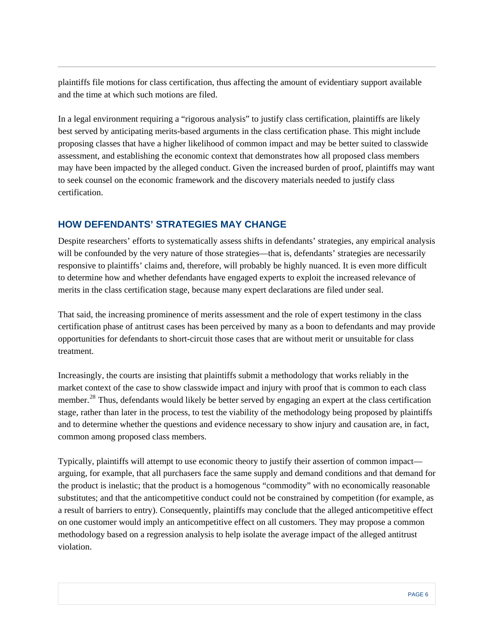plaintiffs file motions for class certification, thus affecting the amount of evidentiary support available and the time at which such motions are filed.

In a legal environment requiring a "rigorous analysis" to justify class certification, plaintiffs are likely best served by anticipating merits-based arguments in the class certification phase. This might include proposing classes that have a higher likelihood of common impact and may be better suited to classwide assessment, and establishing the economic context that demonstrates how all proposed class members may have been impacted by the alleged conduct. Given the increased burden of proof, plaintiffs may want to seek counsel on the economic framework and the discovery materials needed to justify class certification.

## **HOW DEFENDANTS' STRATEGIES MAY CHANGE**

Despite researchers' efforts to systematically assess shifts in defendants' strategies, any empirical analysis will be confounded by the very nature of those strategies—that is, defendants' strategies are necessarily responsive to plaintiffs' claims and, therefore, will probably be highly nuanced. It is even more difficult to determine how and whether defendants have engaged experts to exploit the increased relevance of merits in the class certification stage, because many expert declarations are filed under seal.

That said, the increasing prominence of merits assessment and the role of expert testimony in the class certification phase of antitrust cases has been perceived by many as a boon to defendants and may provide opportunities for defendants to short-circuit those cases that are without merit or unsuitable for class treatment.

Increasingly, the courts are insisting that plaintiffs submit a methodology that works reliably in the market context of the case to show classwide impact and injury with proof that is common to each class member.<sup>[28](#page-10-0)</sup> Thus, defendants would likely be better served by engaging an expert at the class certification stage, rather than later in the process, to test the viability of the methodology being proposed by plaintiffs and to determine whether the questions and evidence necessary to show injury and causation are, in fact, common among proposed class members.

Typically, plaintiffs will attempt to use economic theory to justify their assertion of common impact arguing, for example, that all purchasers face the same supply and demand conditions and that demand for the product is inelastic; that the product is a homogenous "commodity" with no economically reasonable substitutes; and that the anticompetitive conduct could not be constrained by competition (for example, as a result of barriers to entry). Consequently, plaintiffs may conclude that the alleged anticompetitive effect on one customer would imply an anticompetitive effect on all customers. They may propose a common methodology based on a regression analysis to help isolate the average impact of the alleged antitrust violation.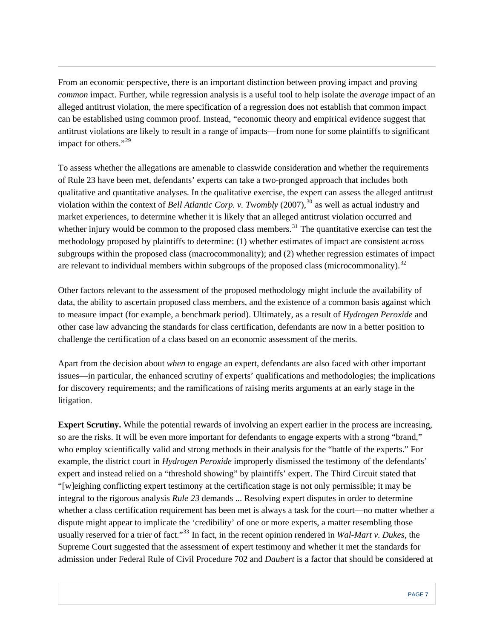From an economic perspective, there is an important distinction between proving impact and proving *common* impact. Further, while regression analysis is a useful tool to help isolate the *average* impact of an alleged antitrust violation, the mere specification of a regression does not establish that common impact can be established using common proof. Instead, "economic theory and empirical evidence suggest that antitrust violations are likely to result in a range of impacts—from none for some plaintiffs to significant impact for others."<sup>[29](#page-10-0)</sup>

To assess whether the allegations are amenable to classwide consideration and whether the requirements of Rule 23 have been met, defendants' experts can take a two-pronged approach that includes both qualitative and quantitative analyses. In the qualitative exercise, the expert can assess the alleged antitrust violation within the context of *Bell Atlantic Corp. v. Twombly* (2007),<sup>[30](#page-10-0)</sup> as well as actual industry and market experiences, to determine whether it is likely that an alleged antitrust violation occurred and whether injury would be common to the proposed class members.<sup>[31](#page-10-0)</sup> The quantitative exercise can test the methodology proposed by plaintiffs to determine: (1) whether estimates of impact are consistent across subgroups within the proposed class (macrocommonality); and (2) whether regression estimates of impact are relevant to individual members within subgroups of the proposed class (microcommonality).<sup>[32](#page-10-0)</sup>

Other factors relevant to the assessment of the proposed methodology might include the availability of data, the ability to ascertain proposed class members, and the existence of a common basis against which to measure impact (for example, a benchmark period). Ultimately, as a result of *Hydrogen Peroxide* and other case law advancing the standards for class certification, defendants are now in a better position to challenge the certification of a class based on an economic assessment of the merits.

Apart from the decision about *when* to engage an expert, defendants are also faced with other important issues—in particular, the enhanced scrutiny of experts' qualifications and methodologies; the implications for discovery requirements; and the ramifications of raising merits arguments at an early stage in the litigation.

**Expert Scrutiny.** While the potential rewards of involving an expert earlier in the process are increasing, so are the risks. It will be even more important for defendants to engage experts with a strong "brand," who employ scientifically valid and strong methods in their analysis for the "battle of the experts." For example, the district court in *Hydrogen Peroxide* improperly dismissed the testimony of the defendants' expert and instead relied on a "threshold showing" by plaintiffs' expert. The Third Circuit stated that "[w]eighing conflicting expert testimony at the certification stage is not only permissible; it may be integral to the rigorous analysis *Rule 23* demands ... Resolving expert disputes in order to determine whether a class certification requirement has been met is always a task for the court—no matter whether a dispute might appear to implicate the 'credibility' of one or more experts, a matter resembling those usually reserved for a trier of fact."[33](#page-10-0) In fact, in the recent opinion rendered in *Wal-Mart v. Dukes*, the Supreme Court suggested that the assessment of expert testimony and whether it met the standards for admission under Federal Rule of Civil Procedure 702 and *Daubert* is a factor that should be considered at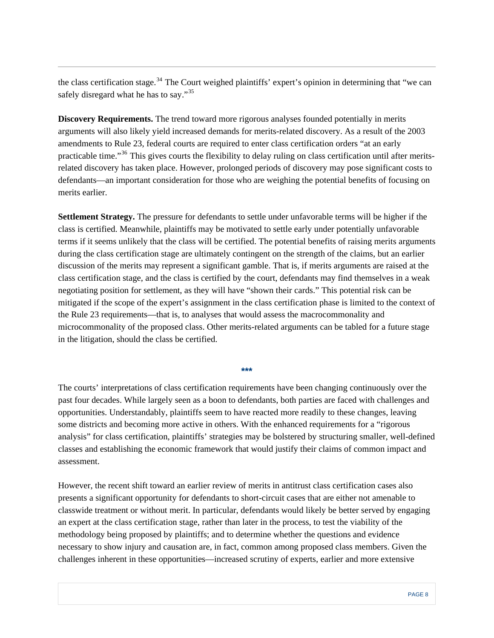the class certification stage.<sup>[34](#page-10-0)</sup> The Court weighed plaintiffs' expert's opinion in determining that "we can safely disregard what he has to say."<sup>[35](#page-11-0)</sup>

**Discovery Requirements.** The trend toward more rigorous analyses founded potentially in merits arguments will also likely yield increased demands for merits-related discovery. As a result of the 2003 amendments to Rule 23, federal courts are required to enter class certification orders "at an early practicable time."[36](#page-11-0) This gives courts the flexibility to delay ruling on class certification until after meritsrelated discovery has taken place. However, prolonged periods of discovery may pose significant costs to defendants—an important consideration for those who are weighing the potential benefits of focusing on merits earlier.

**Settlement Strategy.** The pressure for defendants to settle under unfavorable terms will be higher if the class is certified. Meanwhile, plaintiffs may be motivated to settle early under potentially unfavorable terms if it seems unlikely that the class will be certified. The potential benefits of raising merits arguments during the class certification stage are ultimately contingent on the strength of the claims, but an earlier discussion of the merits may represent a significant gamble. That is, if merits arguments are raised at the class certification stage, and the class is certified by the court, defendants may find themselves in a weak negotiating position for settlement, as they will have "shown their cards." This potential risk can be mitigated if the scope of the expert's assignment in the class certification phase is limited to the context of the Rule 23 requirements—that is, to analyses that would assess the macrocommonality and microcommonality of the proposed class. Other merits-related arguments can be tabled for a future stage in the litigation, should the class be certified.

The courts' interpretations of class certification requirements have been changing continuously over the past four decades. While largely seen as a boon to defendants, both parties are faced with challenges and opportunities. Understandably, plaintiffs seem to have reacted more readily to these changes, leaving some districts and becoming more active in others. With the enhanced requirements for a "rigorous analysis" for class certification, plaintiffs' strategies may be bolstered by structuring smaller, well-defined classes and establishing the economic framework that would justify their claims of common impact and assessment.

**\*\*\*** 

However, the recent shift toward an earlier review of merits in antitrust class certification cases also presents a significant opportunity for defendants to short-circuit cases that are either not amenable to classwide treatment or without merit. In particular, defendants would likely be better served by engaging an expert at the class certification stage, rather than later in the process, to test the viability of the methodology being proposed by plaintiffs; and to determine whether the questions and evidence necessary to show injury and causation are, in fact, common among proposed class members. Given the challenges inherent in these opportunities—increased scrutiny of experts, earlier and more extensive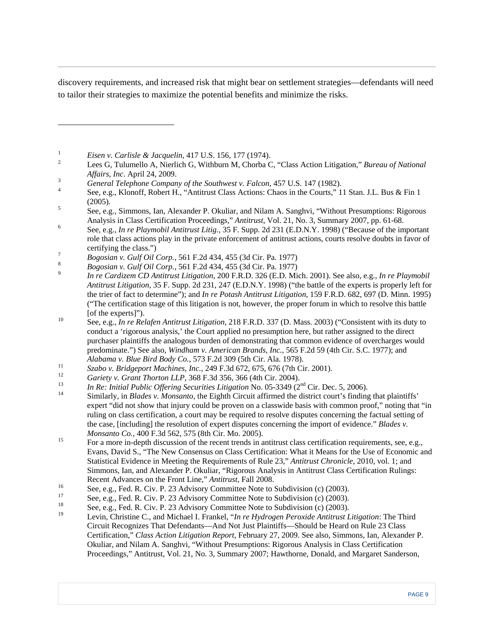<span id="page-9-1"></span>discovery requirements, and increased risk that might bear on settlement strategies—defendants will need to tailor their strategies to maximize the potential benefits and minimize the risks.

<span id="page-9-0"></span>1 *Eisen v. Carlisle & Jacquelin*, 417 U.S. 156, 177 (1974).

l

- Lees G, Tulumello A, Nierlich G, Withburn M, Chorba C, "Class Action Litigation," *Bureau of National Affairs, Inc*. April 24, 2009. 3
- <sup>3</sup> *General Telephone Company of the Southwest v. Falcon, 457 U.S. 147 (1982).*
- See, e.g., Klonoff, Robert H., "Antitrust Class Actions: Chaos in the Courts," 11 Stan. J.L. Bus & Fin 1 (2005)*.* 5

 See, e.g., Simmons, Ian, Alexander P. Okuliar, and Nilam A. Sanghvi, "Without Presumptions: Rigorous Analysis in Class Certification Proceedings," *Antitrust*, Vol. 21, No. 3, Summary 2007, pp. 61-68. 6

- See, e.g., *In re Playmobil Antitrust Litig.*, 35 F. Supp. 2d 231 (E.D.N.Y. 1998) ("Because of the important role that class actions play in the private enforcement of antitrust actions, courts resolve doubts in favor of certifying the class.")
- *Bogosian v. Gulf Oil Corp.*, 561 F.2d 434, 455 (3d Cir. Pa. 1977) 8

- *In re Cardizem CD Antitrust Litigation*, 200 F.R.D. 326 (E.D. Mich. 2001). See also, e.g., *In re Playmobil Antitrust Litigation*, 35 F. Supp. 2d 231, 247 (E.D.N.Y. 1998) ("the battle of the experts is properly left for the trier of fact to determine"); and *In re Potash Antitrust Litigation*, 159 F.R.D. 682, 697 (D. Minn. 1995) ("The certification stage of this litigation is not, however, the proper forum in which to resolve this battle
- [of the experts]"). 10 See, e.g., *In re Relafen Antitrust Litigation*, 218 F.R.D. 337 (D. Mass. 2003) ("Consistent with its duty to conduct a 'rigorous analysis,' the Court applied no presumption here, but rather assigned to the direct purchaser plaintiffs the analogous burden of demonstrating that common evidence of overcharges would predominate.") See also, *Windham v. American Brands, Inc.*, 565 F.2d 59 (4th Cir. S.C. 1977); and
- 
- 
- 
- Alabama v. Blue Bird Body Co., 573 F.2d 309 (5th Cir. Ala. 1978).<br>
Szabo v. Bridgeport Machines, Inc., 249 F.3d 672, 675, 676 (7th Cir. 2001).<br>
Gariety v. Grant Thorton LLP, 368 F.3d 356, 366 (4th Cir. 2004).<br>
In Re: Init expert "did not show that injury could be proven on a classwide basis with common proof," noting that "in ruling on class certification, a court may be required to resolve disputes concerning the factual setting of the case, [including] the resolution of expert disputes concerning the import of evidence." *Blades v.*
- *Monsanto Co.*, 400 F.3d 562, 575 (8th Cir. Mo. 2005).<br><sup>15</sup> For a more in-depth discussion of the recent trends in antitrust class certification requirements, see, e.g., Evans, David S., "The New Consensus on Class Certification: What it Means for the Use of Economic and Statistical Evidence in Meeting the Requirements of Rule 23," *Antitrust Chronicle*, 2010, vol. 1; and Simmons, Ian, and Alexander P. Okuliar, "Rigorous Analysis in Antitrust Class Certification Rulings:
- 
- Recent Advances on the Front Line," *Antitrust*, Fall 2008.<br>
<sup>16</sup> See, e.g., Fed. R. Civ. P. 23 Advisory Committee Note to Subdivision (c) (2003).<br>
<sup>17</sup> See, e.g., Fed. R. Civ. P. 23 Advisory Committee Note to Subdivision
- 
- 19 Levin, Christine C., and Michael I. Frankel, "*In re Hydrogen Peroxide Antitrust Litigation*: The Third Circuit Recognizes That Defendants—And Not Just Plaintiffs—Should be Heard on Rule 23 Class Certification," *Class Action Litigation Report*, February 27, 2009. See also, Simmons, Ian, Alexander P. Okuliar, and Nilam A. Sanghvi, "Without Presumptions: Rigorous Analysis in Class Certification Proceedings," Antitrust, Vol. 21, No. 3, Summary 2007; Hawthorne, Donald, and Margaret Sanderson,

*Bogosian v. Gulf Oil Corp.*, 561 F.2d 434, 455 (3d Cir. Pa. 1977) 9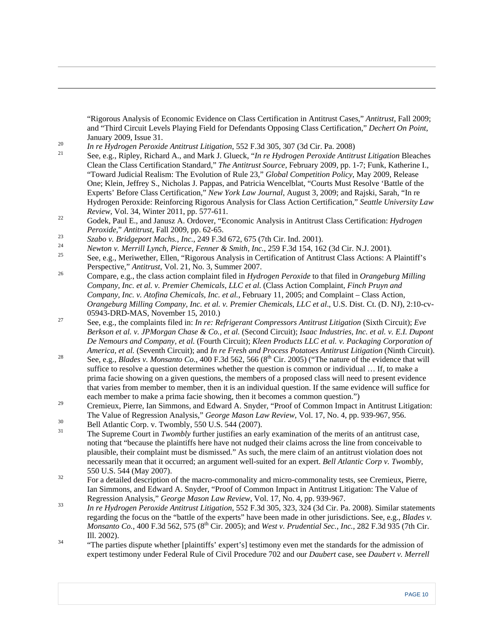"Rigorous Analysis of Economic Evidence on Class Certification in Antitrust Cases," *Antitrust*, Fall 2009; and "Third Circuit Levels Playing Field for Defendants Opposing Class Certification," *Dechert On Point*,

<span id="page-10-0"></span> $\overline{a}$ 

- January 2009, Issue 31.<br> *In re Hydrogen Peroxide Antitrust Litigation*, 552 F.3d 305, 307 (3d Cir. Pa. 2008)<br>
See, e.g., Ripley, Richard A., and Mark J. Glueck, "*In re Hydrogen Peroxide Antitrust Litigation* Bleaches Clean the Class Certification Standard," *The Antitrust Source*, February 2009, pp. 1-7; Funk, Katherine I., "Toward Judicial Realism: The Evolution of Rule 23," *Global Competition Policy*, May 2009, Release One; Klein, Jeffrey S., Nicholas J. Pappas, and Patricia Wencelblat, "Courts Must Resolve 'Battle of the Experts' Before Class Certification," *New York Law Journal*, August 3, 2009; and Rajski, Sarah, "In re Hydrogen Peroxide: Reinforcing Rigorous Analysis for Class Action Certification," *Seattle University Law*
- *Review*, Vol. 34, Winter 2011, pp. 577-611.<br><sup>22</sup> Godek, Paul E., and Janusz A. Ordover, "Economic Analysis in Antitrust Class Certification: *Hydrogen* Peroxide," Antitrust, Fall 2009, pp. 62-65.<br>
Szabo v. Bridgeport Machs., Inc., 249 F.3d 672, 675 (7th Cir. Ind. 2001).<br>
Newton v. Merrill Lynch, Pierce, Fenner & Smith, Inc., 259 F.3d 154, 162 (3d Cir. N.J. 2001).<br>
See, e.
- 
- 
- Perspective," *Antitrust*, Vol. 21, No. 3, Summer 2007.<br><sup>26</sup> Compare, e.g., the class action complaint filed in *Hydrogen Peroxide* to that filed in *Orangeburg Milling*
- *Company, Inc. et al. v. Premier Chemicals, LLC et al*. (Class Action Complaint, *Finch Pruyn and Company, Inc. v. Atofina Chemicals, Inc. et al.*, February 11, 2005; and Complaint – Class Action, *Orangeburg Milling Company, Inc. et al. v. Premier Chemicals, LLC et al*., U.S. Dist. Ct. (D. NJ), 2:10-cv-
- 05943-DRD-MAS, November 15, 2010.) 27 See, e.g., the complaints filed in: *In re: Refrigerant Compressors Antitrust Litigation* (Sixth Circuit); *Eve Berkson et al. v. JPMorgan Chase & Co., et al.* (Second Circuit); *Isaac Industries, Inc. et al. v. E.I. Dupont De Nemours and Company, et al.* (Fourth Circuit); *Kleen Products LLC et al. v. Packaging Corporation of*
- America, et al. (Seventh Circuit); and In re Fresh and Process Potatoes Antitrust Litigation (Ninth Circuit).<br>
See, e.g., Blades v. Monsanto Co., 400 F.3d 562, 566 (8<sup>th</sup> Cir. 2005) ("The nature of the evidence that will suffice to resolve a question determines whether the question is common or individual … If, to make a prima facie showing on a given questions, the members of a proposed class will need to present evidence that varies from member to member, then it is an individual question. If the same evidence will suffice for each member to make a prima facie showing, then it becomes a common question.")
- <sup>29</sup> Cremieux, Pierre, Ian Simmons, and Edward A. Snyder, "Proof of Common Impact in Antitrust Litigation: The Value of Regression Analysis," *George Mason Law Review*, Vol. 17, No. 4, pp. 939-967, 956.<br>
Bell Atlantic Corp. v. Twombly, 550 U.S. 544 (2007).
- 
- 31 The Supreme Court in *Twombly* further justifies an early examination of the merits of an antitrust case, noting that "because the plaintiffs here have not nudged their claims across the line from conceivable to plausible, their complaint must be dismissed." As such, the mere claim of an antitrust violation does not necessarily mean that it occurred; an argument well-suited for an expert. *Bell Atlantic Corp v. Twombly*, 550 U.S. 544 (May 2007).<br><sup>32</sup> For a detailed description of the macro-commonality and micro-commonality tests, see Cremieux, Pierre,
- Ian Simmons, and Edward A. Snyder, "Proof of Common Impact in Antitrust Litigation: The Value of
- Regression Analysis," *George Mason Law Review*, Vol. 17, No. 4, pp. 939-967. 33 *In re Hydrogen Peroxide Antitrust Litigation*, 552 F.3d 305, 323, 324 (3d Cir. Pa. 2008). Similar statements regarding the focus on the "battle of the experts" have been made in other jurisdictions. See, e.g., *Blades v. Monsanto Co.*, 400 F.3d 562, 575 (8<sup>th</sup> Cir. 2005); and *West v. Prudential Sec., Inc.*, 282 F.3d 935 (7th Cir.
- Ill. 2002). 34 "The parties dispute whether [plaintiffs' expert's] testimony even met the standards for the admission of expert testimony under Federal Rule of Civil Procedure 702 and our *Daubert* case, see *Daubert v. Merrell*